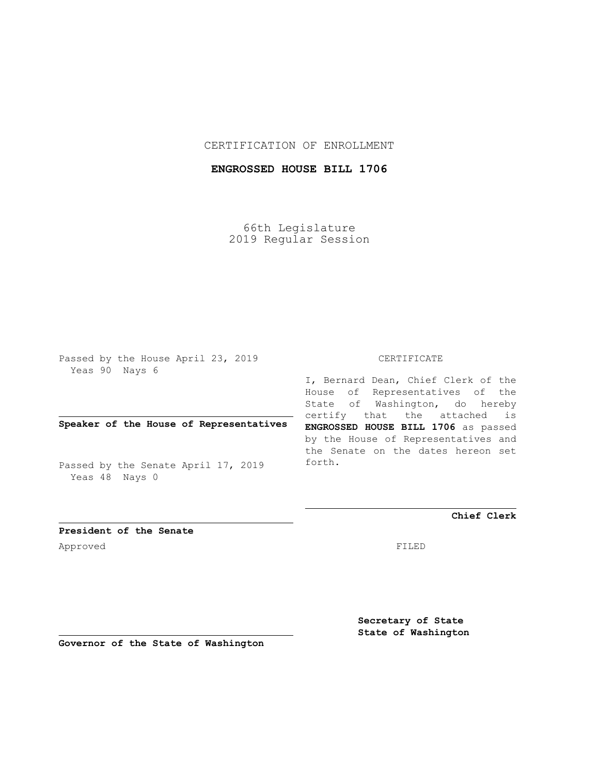### CERTIFICATION OF ENROLLMENT

## **ENGROSSED HOUSE BILL 1706**

66th Legislature 2019 Regular Session

Passed by the House April 23, 2019 Yeas 90 Nays 6

### **Speaker of the House of Representatives**

Passed by the Senate April 17, 2019 Yeas 48 Nays 0

#### CERTIFICATE

I, Bernard Dean, Chief Clerk of the House of Representatives of the State of Washington, do hereby certify that the attached is **ENGROSSED HOUSE BILL 1706** as passed by the House of Representatives and the Senate on the dates hereon set forth.

**Chief Clerk**

**President of the Senate** Approved FILED

**Secretary of State State of Washington**

**Governor of the State of Washington**